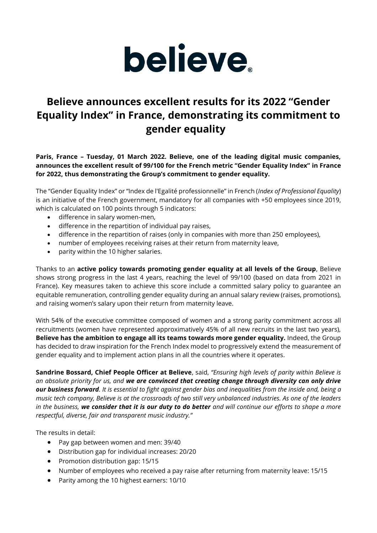

# **Believe announces excellent results for its 2022 "Gender Equality Index" in France, demonstrating its commitment to gender equality**

**Paris, France – Tuesday, 01 March 2022. Believe, one of the leading digital music companies, announces the excellent result of 99/100 for the French metric "Gender Equality Index" in France for 2022, thus demonstrating the Group's commitment to gender equality.** 

The "Gender Equality Index" or "Index de l'Egalité professionnelle" in French (*Index of Professional Equality*) is an initiative of the French government, mandatory for all companies with +50 employees since 2019, which is calculated on 100 points through 5 indicators:

- difference in salary women-men,
- difference in the repartition of individual pay raises,
- difference in the repartition of raises (only in companies with more than 250 employees),
- number of employees receiving raises at their return from maternity leave,
- parity within the 10 higher salaries.

Thanks to an **active policy towards promoting gender equality at all levels of the Group**, Believe shows strong progress in the last 4 years, reaching the level of 99/100 (based on data from 2021 in France). Key measures taken to achieve this score include a committed salary policy to guarantee an equitable remuneration, controlling gender equality during an annual salary review (raises, promotions), and raising women's salary upon their return from maternity leave.

With 54% of the executive committee composed of women and a strong parity commitment across all recruitments (women have represented approximatively 45% of all new recruits in the last two years), **Believe has the ambition to engage all its teams towards more gender equality.** Indeed, the Group has decided to draw inspiration for the French Index model to progressively extend the measurement of gender equality and to implement action plans in all the countries where it operates.

**Sandrine Bossard, Chief People Officer at Believe**, said, *"Ensuring high levels of parity within Believe is an absolute priority for us, and we are convinced that creating change through diversity can only drive our business forward. It is essential to fight against gender bias and inequalities from the inside and, being a music tech company, Believe is at the crossroads of two still very unbalanced industries. As one of the leaders in the business, we consider that it is our duty to do better and will continue our efforts to shape a more respectful, diverse, fair and transparent music industry."*

The results in detail:

- Pay gap between women and men: 39/40
- Distribution gap for individual increases: 20/20
- Promotion distribution gap: 15/15
- Number of employees who received a pay raise after returning from maternity leave: 15/15
- Parity among the 10 highest earners: 10/10